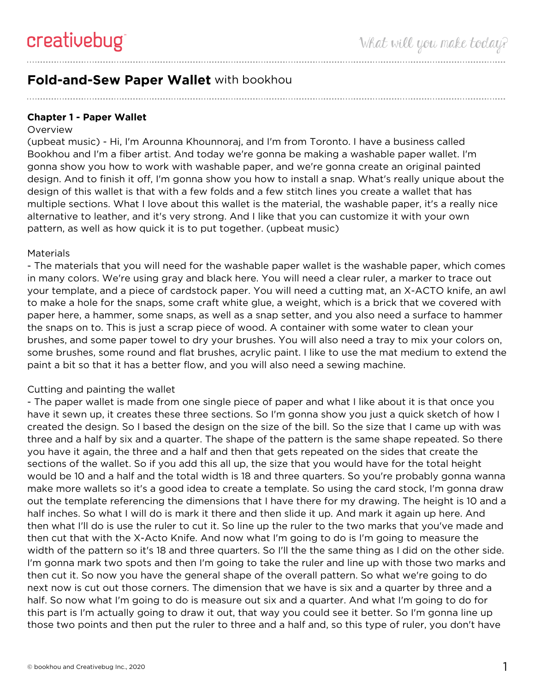# **Fold-and-Sew Paper Wallet** with bookhou

## **Chapter 1 - Paper Wallet**

#### **Overview**

(upbeat music) - Hi, I'm Arounna Khounnoraj, and I'm from Toronto. I have a business called Bookhou and I'm a fiber artist. And today we're gonna be making a washable paper wallet. I'm gonna show you how to work with washable paper, and we're gonna create an original painted design. And to finish it off, I'm gonna show you how to install a snap. What's really unique about the design of this wallet is that with a few folds and a few stitch lines you create a wallet that has multiple sections. What I love about this wallet is the material, the washable paper, it's a really nice alternative to leather, and it's very strong. And I like that you can customize it with your own pattern, as well as how quick it is to put together. (upbeat music)

#### **Materials**

- The materials that you will need for the washable paper wallet is the washable paper, which comes in many colors. We're using gray and black here. You will need a clear ruler, a marker to trace out your template, and a piece of cardstock paper. You will need a cutting mat, an X-ACTO knife, an awl to make a hole for the snaps, some craft white glue, a weight, which is a brick that we covered with paper here, a hammer, some snaps, as well as a snap setter, and you also need a surface to hammer the snaps on to. This is just a scrap piece of wood. A container with some water to clean your brushes, and some paper towel to dry your brushes. You will also need a tray to mix your colors on, some brushes, some round and flat brushes, acrylic paint. I like to use the mat medium to extend the paint a bit so that it has a better flow, and you will also need a sewing machine.

#### Cutting and painting the wallet

- The paper wallet is made from one single piece of paper and what I like about it is that once you have it sewn up, it creates these three sections. So I'm gonna show you just a quick sketch of how I created the design. So I based the design on the size of the bill. So the size that I came up with was three and a half by six and a quarter. The shape of the pattern is the same shape repeated. So there you have it again, the three and a half and then that gets repeated on the sides that create the sections of the wallet. So if you add this all up, the size that you would have for the total height would be 10 and a half and the total width is 18 and three quarters. So you're probably gonna wanna make more wallets so it's a good idea to create a template. So using the card stock, I'm gonna draw out the template referencing the dimensions that I have there for my drawing. The height is 10 and a half inches. So what I will do is mark it there and then slide it up. And mark it again up here. And then what I'll do is use the ruler to cut it. So line up the ruler to the two marks that you've made and then cut that with the X-Acto Knife. And now what I'm going to do is I'm going to measure the width of the pattern so it's 18 and three quarters. So I'll the the same thing as I did on the other side. I'm gonna mark two spots and then I'm going to take the ruler and line up with those two marks and then cut it. So now you have the general shape of the overall pattern. So what we're going to do next now is cut out those corners. The dimension that we have is six and a quarter by three and a half. So now what I'm going to do is measure out six and a quarter. And what I'm going to do for this part is I'm actually going to draw it out, that way you could see it better. So I'm gonna line up those two points and then put the ruler to three and a half and, so this type of ruler, you don't have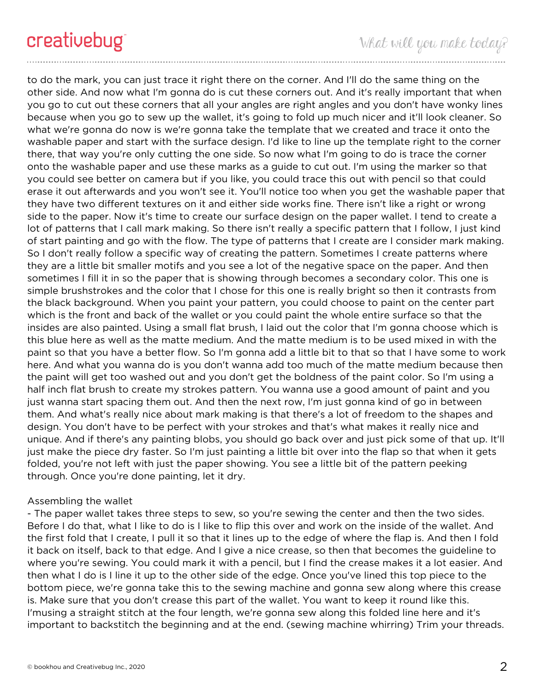to do the mark, you can just trace it right there on the corner. And I'll do the same thing on the other side. And now what I'm gonna do is cut these corners out. And it's really important that when you go to cut out these corners that all your angles are right angles and you don't have wonky lines because when you go to sew up the wallet, it's going to fold up much nicer and it'll look cleaner. So what we're gonna do now is we're gonna take the template that we created and trace it onto the washable paper and start with the surface design. I'd like to line up the template right to the corner there, that way you're only cutting the one side. So now what I'm going to do is trace the corner onto the washable paper and use these marks as a guide to cut out. I'm using the marker so that you could see better on camera but if you like, you could trace this out with pencil so that could erase it out afterwards and you won't see it. You'll notice too when you get the washable paper that they have two different textures on it and either side works fine. There isn't like a right or wrong side to the paper. Now it's time to create our surface design on the paper wallet. I tend to create a lot of patterns that I call mark making. So there isn't really a specific pattern that I follow, I just kind of start painting and go with the flow. The type of patterns that I create are I consider mark making. So I don't really follow a specific way of creating the pattern. Sometimes I create patterns where they are a little bit smaller motifs and you see a lot of the negative space on the paper. And then sometimes I fill it in so the paper that is showing through becomes a secondary color. This one is simple brushstrokes and the color that I chose for this one is really bright so then it contrasts from the black background. When you paint your pattern, you could choose to paint on the center part which is the front and back of the wallet or you could paint the whole entire surface so that the insides are also painted. Using a small flat brush, I laid out the color that I'm gonna choose which is this blue here as well as the matte medium. And the matte medium is to be used mixed in with the paint so that you have a better flow. So I'm gonna add a little bit to that so that I have some to work here. And what you wanna do is you don't wanna add too much of the matte medium because then the paint will get too washed out and you don't get the boldness of the paint color. So I'm using a half inch flat brush to create my strokes pattern. You wanna use a good amount of paint and you just wanna start spacing them out. And then the next row, I'm just gonna kind of go in between them. And what's really nice about mark making is that there's a lot of freedom to the shapes and design. You don't have to be perfect with your strokes and that's what makes it really nice and unique. And if there's any painting blobs, you should go back over and just pick some of that up. It'll just make the piece dry faster. So I'm just painting a little bit over into the flap so that when it gets folded, you're not left with just the paper showing. You see a little bit of the pattern peeking through. Once you're done painting, let it dry.

# Assembling the wallet

- The paper wallet takes three steps to sew, so you're sewing the center and then the two sides. Before I do that, what I like to do is I like to flip this over and work on the inside of the wallet. And the first fold that I create, I pull it so that it lines up to the edge of where the flap is. And then I fold it back on itself, back to that edge. And I give a nice crease, so then that becomes the guideline to where you're sewing. You could mark it with a pencil, but I find the crease makes it a lot easier. And then what I do is I line it up to the other side of the edge. Once you've lined this top piece to the bottom piece, we're gonna take this to the sewing machine and gonna sew along where this crease is. Make sure that you don't crease this part of the wallet. You want to keep it round like this. I'musing a straight stitch at the four length, we're gonna sew along this folded line here and it's important to backstitch the beginning and at the end. (sewing machine whirring) Trim your threads.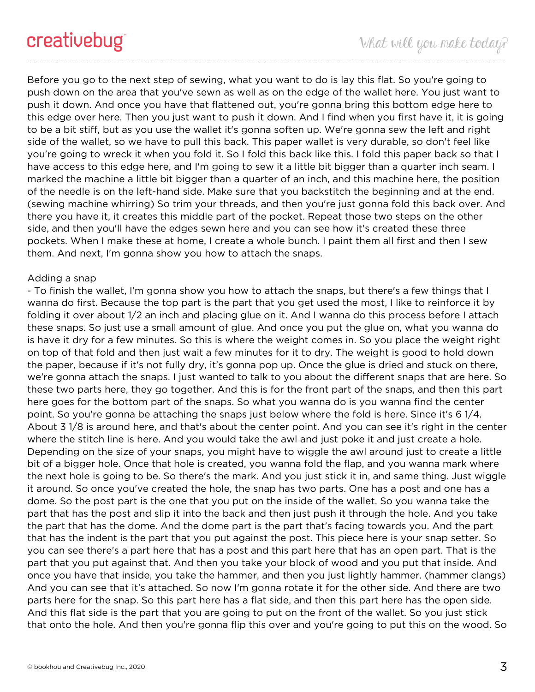Before you go to the next step of sewing, what you want to do is lay this flat. So you're going to push down on the area that you've sewn as well as on the edge of the wallet here. You just want to push it down. And once you have that flattened out, you're gonna bring this bottom edge here to this edge over here. Then you just want to push it down. And I find when you first have it, it is going to be a bit stiff, but as you use the wallet it's gonna soften up. We're gonna sew the left and right side of the wallet, so we have to pull this back. This paper wallet is very durable, so don't feel like you're going to wreck it when you fold it. So I fold this back like this. I fold this paper back so that I have access to this edge here, and I'm going to sew it a little bit bigger than a quarter inch seam. I marked the machine a little bit bigger than a quarter of an inch, and this machine here, the position of the needle is on the left-hand side. Make sure that you backstitch the beginning and at the end. (sewing machine whirring) So trim your threads, and then you're just gonna fold this back over. And there you have it, it creates this middle part of the pocket. Repeat those two steps on the other side, and then you'll have the edges sewn here and you can see how it's created these three pockets. When I make these at home, I create a whole bunch. I paint them all first and then I sew them. And next, I'm gonna show you how to attach the snaps.

## Adding a snap

- To finish the wallet, I'm gonna show you how to attach the snaps, but there's a few things that I wanna do first. Because the top part is the part that you get used the most, I like to reinforce it by folding it over about 1/2 an inch and placing glue on it. And I wanna do this process before I attach these snaps. So just use a small amount of glue. And once you put the glue on, what you wanna do is have it dry for a few minutes. So this is where the weight comes in. So you place the weight right on top of that fold and then just wait a few minutes for it to dry. The weight is good to hold down the paper, because if it's not fully dry, it's gonna pop up. Once the glue is dried and stuck on there, we're gonna attach the snaps. I just wanted to talk to you about the different snaps that are here. So these two parts here, they go together. And this is for the front part of the snaps, and then this part here goes for the bottom part of the snaps. So what you wanna do is you wanna find the center point. So you're gonna be attaching the snaps just below where the fold is here. Since it's 6 1/4. About 3 1/8 is around here, and that's about the center point. And you can see it's right in the center where the stitch line is here. And you would take the awl and just poke it and just create a hole. Depending on the size of your snaps, you might have to wiggle the awl around just to create a little bit of a bigger hole. Once that hole is created, you wanna fold the flap, and you wanna mark where the next hole is going to be. So there's the mark. And you just stick it in, and same thing. Just wiggle it around. So once you've created the hole, the snap has two parts. One has a post and one has a dome. So the post part is the one that you put on the inside of the wallet. So you wanna take the part that has the post and slip it into the back and then just push it through the hole. And you take the part that has the dome. And the dome part is the part that's facing towards you. And the part that has the indent is the part that you put against the post. This piece here is your snap setter. So you can see there's a part here that has a post and this part here that has an open part. That is the part that you put against that. And then you take your block of wood and you put that inside. And once you have that inside, you take the hammer, and then you just lightly hammer. (hammer clangs) And you can see that it's attached. So now I'm gonna rotate it for the other side. And there are two parts here for the snap. So this part here has a flat side, and then this part here has the open side. And this flat side is the part that you are going to put on the front of the wallet. So you just stick that onto the hole. And then you're gonna flip this over and you're going to put this on the wood. So